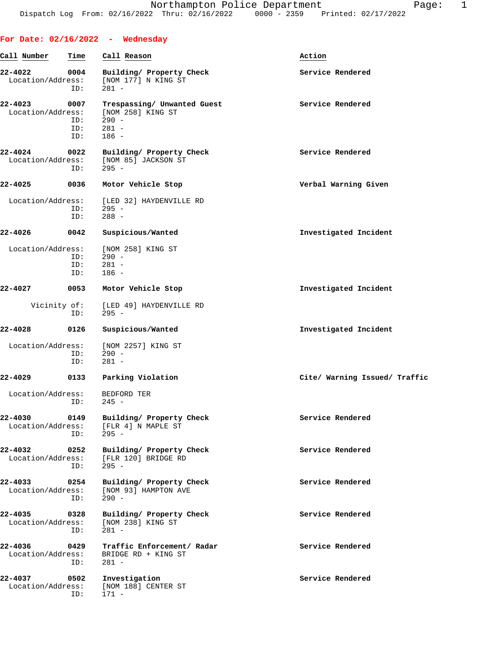|                                  |                           | For Date: $02/16/2022 -$ Wednesday                                                |                               |
|----------------------------------|---------------------------|-----------------------------------------------------------------------------------|-------------------------------|
| Call Number                      | Time                      | Call Reason                                                                       | Action                        |
| 22-4022<br>Location/Address:     | 0004<br>ID:               | Building/ Property Check<br>[NOM 177] N KING ST<br>$281 -$                        | Service Rendered              |
| $22 - 4023$<br>Location/Address: | 0007<br>ID:<br>ID:<br>ID: | Trespassing/ Unwanted Guest<br>[NOM 258] KING ST<br>$290 -$<br>$281 -$<br>$186 -$ | Service Rendered              |
| 22-4024<br>Location/Address:     | 0022<br>ID:               | Building/ Property Check<br>[NOM 85] JACKSON ST<br>$295 -$                        | Service Rendered              |
| 22-4025                          | 0036                      | Motor Vehicle Stop                                                                | Verbal Warning Given          |
| Location/Address:                | ID:<br>ID:                | [LED 32] HAYDENVILLE RD<br>295 -<br>$288 -$                                       |                               |
| 22-4026                          | 0042                      | Suspicious/Wanted                                                                 | Investigated Incident         |
| Location/Address:                | ID:<br>ID:<br>ID:         | [NOM 258] KING ST<br>$290 -$<br>$281 -$<br>$186 -$                                |                               |
| 22-4027                          | 0053                      | Motor Vehicle Stop                                                                | Investigated Incident         |
| Vicinity of:                     | ID:                       | [LED 49] HAYDENVILLE RD<br>$295 -$                                                |                               |
| 22-4028                          | 0126                      | Suspicious/Wanted                                                                 | Investigated Incident         |
| Location/Address:                | ID:<br>ID:                | [NOM 2257] KING ST<br>$290 -$<br>$281 -$                                          |                               |
| 22-4029                          | 0133                      | Parking Violation                                                                 | Cite/ Warning Issued/ Traffic |
| Location/Address:                |                           | BEDFORD TER<br>$ID: 245 -$                                                        |                               |
| 22-4030<br>Location/Address:     | 0149<br>ID:               | Building/ Property Check<br>[FLR 4] N MAPLE ST<br>$295 -$                         | Service Rendered              |
| 22-4032<br>Location/Address:     | 0252<br>ID:               | Building/ Property Check<br>[FLR 120] BRIDGE RD<br>$295 -$                        | Service Rendered              |
| 22-4033<br>Location/Address:     | 0254<br>ID:               | Building/ Property Check<br>[NOM 93] HAMPTON AVE<br>$290 -$                       | Service Rendered              |
| 22-4035<br>Location/Address:     | 0328<br>ID:               | Building/ Property Check<br>[NOM 238] KING ST<br>$281 -$                          | Service Rendered              |
| 22-4036<br>Location/Address:     | 0429<br>ID:               | Traffic Enforcement/ Radar<br>BRIDGE RD + KING ST<br>281 -                        | Service Rendered              |
| 22-4037<br>Location/Address:     | 0502<br>ID:               | Investigation<br>[NOM 188] CENTER ST<br>171 -                                     | Service Rendered              |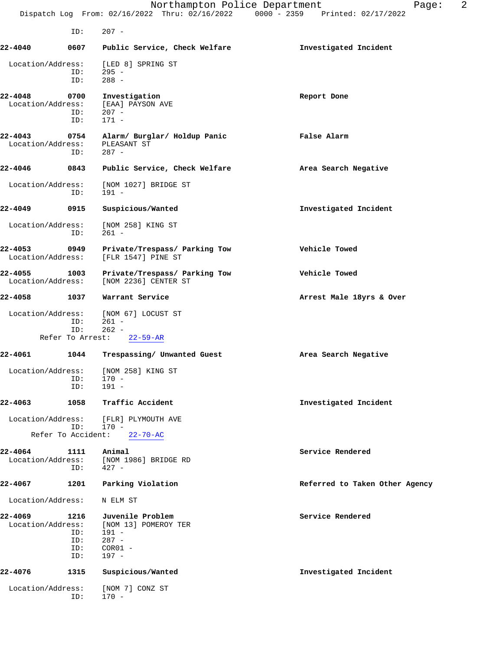|                              | ID:                              | $207 -$                                                                                |                                |
|------------------------------|----------------------------------|----------------------------------------------------------------------------------------|--------------------------------|
| 22-4040                      | 0607                             | Public Service, Check Welfare                                                          | Investigated Incident          |
| Location/Address:            | ID:<br>ID:                       | [LED 8] SPRING ST<br>295 -<br>$288 -$                                                  |                                |
| 22-4048<br>Location/Address: | 0700<br>ID:<br>ID:               | Investigation<br>[EAA] PAYSON AVE<br>$207 -$<br>$171 -$                                | Report Done                    |
| 22-4043<br>Location/Address: | 0754<br>ID:                      | Alarm/ Burglar/ Holdup Panic<br>PLEASANT ST<br>$287 -$                                 | <b>False Alarm</b>             |
| $22 - 4046$                  | 0843                             | Public Service, Check Welfare                                                          | Area Search Negative           |
| Location/Address:            | ID:                              | [NOM 1027] BRIDGE ST<br>$191 -$                                                        |                                |
| 22-4049                      | 0915                             | Suspicious/Wanted                                                                      | Investigated Incident          |
| Location/Address:            | ID:                              | [NOM 258] KING ST<br>$261 -$                                                           |                                |
| 22-4053<br>Location/Address: | 0949                             | Private/Trespass/ Parking Tow<br>[FLR 1547] PINE ST                                    | Vehicle Towed                  |
| 22-4055<br>Location/Address: | 1003                             | Private/Trespass/ Parking Tow<br>[NOM 2236] CENTER ST                                  | Vehicle Towed                  |
| $22 - 4058$                  | 1037                             | Warrant Service                                                                        | Arrest Male 18yrs & Over       |
| Location/Address:            | ID:<br>ID:                       | [NOM 67] LOCUST ST<br>$261 -$<br>$262 -$                                               |                                |
|                              |                                  | Refer To Arrest: 22-59-AR                                                              |                                |
| 22-4061                      | 1044                             | Trespassing/ Unwanted Guest                                                            | Area Search Negative           |
| Location/Address:            | ID:<br>ID:                       | [NOM 258] KING ST<br>$170 -$<br>$191 -$                                                |                                |
| 22-4063                      | 1058                             | Traffic Accident                                                                       | Investigated Incident          |
| Location/Address:            | ID:                              | [FLR] PLYMOUTH AVE<br>170 -                                                            |                                |
| Refer To Accident:           |                                  | $22 - 70 - AC$                                                                         |                                |
| 22-4064<br>Location/Address: | 1111<br>ID:                      | Animal<br>[NOM 1986] BRIDGE RD<br>$427 -$                                              | Service Rendered               |
| 22-4067                      | 1201                             | Parking Violation                                                                      | Referred to Taken Other Agency |
| Location/Address:            |                                  | N ELM ST                                                                               |                                |
| 22-4069<br>Location/Address: | 1216<br>ID:<br>ID:<br>ID:<br>ID: | Juvenile Problem<br>[NOM 13] POMEROY TER<br>$191 -$<br>$287 -$<br>$COR01 -$<br>$197 -$ | Service Rendered               |
| 22-4076                      | 1315                             | Suspicious/Wanted                                                                      | Investigated Incident          |
| Location/Address:            | ID:                              | [NOM 7] CONZ ST<br>$170 -$                                                             |                                |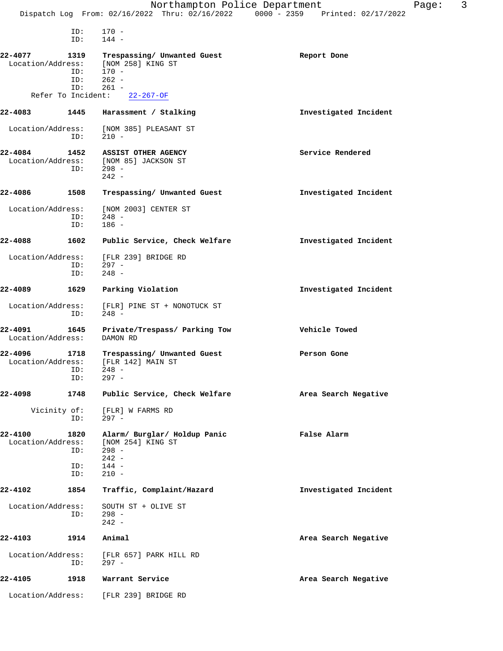|                              |                           | Northampton Police Department                                                      | Dispatch Log From: 02/16/2022 Thru: 02/16/2022 0000 - 2359 Printed: 02/17/2022 | Page: | 3 |
|------------------------------|---------------------------|------------------------------------------------------------------------------------|--------------------------------------------------------------------------------|-------|---|
|                              |                           |                                                                                    |                                                                                |       |   |
|                              | ID:<br>ID:                | $170 -$<br>$144 -$                                                                 |                                                                                |       |   |
| 22-4077<br>Location/Address: | 1319<br>ID:<br>ID:<br>ID: | Trespassing/ Unwanted Guest<br>[NOM 258] KING ST<br>$170 -$<br>$262 -$<br>$261 -$  | Report Done                                                                    |       |   |
|                              |                           | Refer To Incident: 22-267-OF                                                       |                                                                                |       |   |
| 22-4083                      | 1445                      | Harassment / Stalking                                                              | Investigated Incident                                                          |       |   |
| Location/Address:            | ID:                       | [NOM 385] PLEASANT ST<br>$210 -$                                                   |                                                                                |       |   |
| 22-4084                      | 1452<br>ID:               | ASSIST OTHER AGENCY<br>Location/Address: [NOM 85] JACKSON ST<br>$298 -$<br>$242 -$ | Service Rendered                                                               |       |   |
| 22-4086                      | 1508                      | Trespassing/ Unwanted Guest                                                        | Investigated Incident                                                          |       |   |
| Location/Address:            | ID:<br>ID:                | [NOM 2003] CENTER ST<br>$248 -$<br>$186 -$                                         |                                                                                |       |   |
| 22-4088                      | 1602                      | Public Service, Check Welfare                                                      | Investigated Incident                                                          |       |   |
| Location/Address:            | ID:<br>ID:                | [FLR 239] BRIDGE RD<br>$297 -$<br>$248 -$                                          |                                                                                |       |   |
| 22-4089                      | 1629                      | Parking Violation                                                                  | Investigated Incident                                                          |       |   |
| Location/Address:            | ID:                       | [FLR] PINE ST + NONOTUCK ST<br>$248 -$                                             |                                                                                |       |   |
| 22-4091<br>Location/Address: | 1645                      | Private/Trespass/ Parking Tow<br>DAMON RD                                          | Vehicle Towed                                                                  |       |   |
| 22-4096<br>Location/Address: | 1718<br>ID:<br>ID:        | Trespassing/ Unwanted Guest<br>[FLR 142] MAIN ST<br>$248 -$<br>$297 -$             | Person Gone                                                                    |       |   |
| 22-4098                      | 1748                      | Public Service, Check Welfare                                                      | Area Search Negative                                                           |       |   |
| Vicinity of:                 | ID:                       | [FLR] W FARMS RD<br>$297 -$                                                        |                                                                                |       |   |
| 22-4100<br>Location/Address: | 1820<br>ID:               | Alarm/ Burglar/ Holdup Panic<br>[NOM 254] KING ST<br>$298 -$<br>$242 -$            | False Alarm                                                                    |       |   |
|                              | ID:<br>ID:                | $144 -$<br>$210 -$                                                                 |                                                                                |       |   |
| 22-4102                      | 1854                      | Traffic, Complaint/Hazard                                                          | Investigated Incident                                                          |       |   |
| Location/Address:            | ID:                       | SOUTH ST + OLIVE ST<br>$298 -$<br>$242 -$                                          |                                                                                |       |   |
| 22-4103                      | 1914                      | Animal                                                                             | Area Search Negative                                                           |       |   |
| Location/Address:            | ID:                       | [FLR 657] PARK HILL RD<br>$297 -$                                                  |                                                                                |       |   |
| 22-4105                      | 1918                      | Warrant Service                                                                    | Area Search Negative                                                           |       |   |
| Location/Address:            |                           | [FLR 239] BRIDGE RD                                                                |                                                                                |       |   |